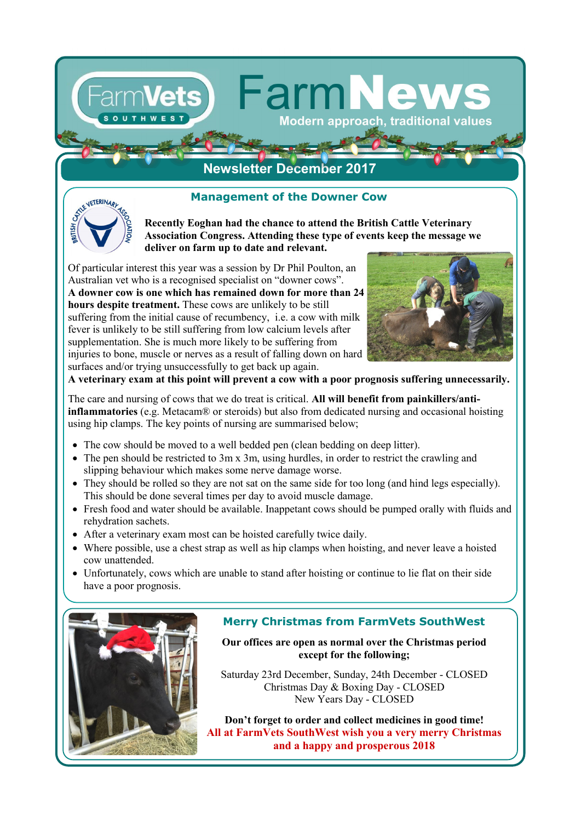# **Management of the Downer Cow**

**Newsletter December 2017**



**Recently Eoghan had the chance to attend the British Cattle Veterinary Association Congress. Attending these type of events keep the message we deliver on farm up to date and relevant.** 

**FarmN** 

Modern approach, traditional values

Of particular interest this year was a session by Dr Phil Poulton, an Australian vet who is a recognised specialist on "downer cows". **A downer cow is one which has remained down for more than 24 hours despite treatment.** These cows are unlikely to be still suffering from the initial cause of recumbency, i.e. a cow with milk fever is unlikely to be still suffering from low calcium levels after supplementation. She is much more likely to be suffering from injuries to bone, muscle or nerves as a result of falling down on hard surfaces and/or trying unsuccessfully to get back up again.



**A veterinary exam at this point will prevent a cow with a poor prognosis suffering unnecessarily.**

The care and nursing of cows that we do treat is critical. **All will benefit from painkillers/antiinflammatories** (e.g. Metacam® or steroids) but also from dedicated nursing and occasional hoisting using hip clamps. The key points of nursing are summarised below;

- The cow should be moved to a well bedded pen (clean bedding on deep litter).
- The pen should be restricted to 3m x 3m, using hurdles, in order to restrict the crawling and slipping behaviour which makes some nerve damage worse.
- They should be rolled so they are not sat on the same side for too long (and hind legs especially). This should be done several times per day to avoid muscle damage.
- Fresh food and water should be available. Inappetant cows should be pumped orally with fluids and rehydration sachets.
- After a veterinary exam most can be hoisted carefully twice daily.
- Where possible, use a chest strap as well as hip clamps when hoisting, and never leave a hoisted cow unattended.
- Unfortunately, cows which are unable to stand after hoisting or continue to lie flat on their side have a poor prognosis.



## **Merry Christmas from FarmVets SouthWest**

**Our offices are open as normal over the Christmas period except for the following;**

Saturday 23rd December, Sunday, 24th December - CLOSED Christmas Day & Boxing Day - CLOSED New Years Day - CLOSED

**Don't forget to order and collect medicines in good time! All at FarmVets SouthWest wish you a very merry Christmas and a happy and prosperous 2018**